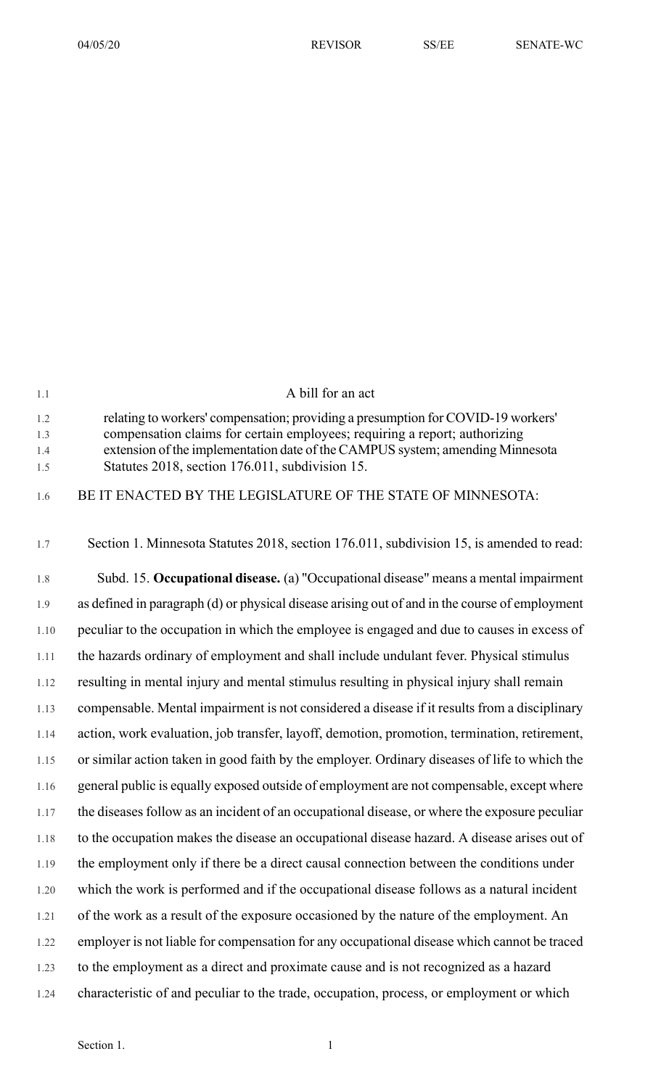| 1.1                      | A bill for an act                                                                                                                                                                                                                                                                                  |
|--------------------------|----------------------------------------------------------------------------------------------------------------------------------------------------------------------------------------------------------------------------------------------------------------------------------------------------|
| 1.2<br>1.3<br>1.4<br>1.5 | relating to workers' compensation; providing a presumption for COVID-19 workers'<br>compensation claims for certain employees; requiring a report; authorizing<br>extension of the implementation date of the CAMPUS system; amending Minnesota<br>Statutes 2018, section 176.011, subdivision 15. |
| 1.6                      | BE IT ENACTED BY THE LEGISLATURE OF THE STATE OF MINNESOTA:                                                                                                                                                                                                                                        |
| 1.7                      | Section 1. Minnesota Statutes 2018, section 176.011, subdivision 15, is amended to read:                                                                                                                                                                                                           |
| 1.8                      | Subd. 15. Occupational disease. (a) "Occupational disease" means a mental impairment                                                                                                                                                                                                               |
| 1.9                      | as defined in paragraph (d) or physical disease arising out of and in the course of employment                                                                                                                                                                                                     |
| 1.10                     | peculiar to the occupation in which the employee is engaged and due to causes in excess of                                                                                                                                                                                                         |
| 1.11                     | the hazards ordinary of employment and shall include undulant fever. Physical stimulus                                                                                                                                                                                                             |
| 1.12                     | resulting in mental injury and mental stimulus resulting in physical injury shall remain                                                                                                                                                                                                           |
| 1.13                     | compensable. Mental impairment is not considered a disease if it results from a disciplinary                                                                                                                                                                                                       |
| 1.14                     | action, work evaluation, job transfer, layoff, demotion, promotion, termination, retirement,                                                                                                                                                                                                       |
| 1.15                     | or similar action taken in good faith by the employer. Ordinary diseases of life to which the                                                                                                                                                                                                      |
| 1.16                     | general public is equally exposed outside of employment are not compensable, except where                                                                                                                                                                                                          |
| 1.17                     | the diseases follow as an incident of an occupational disease, or where the exposure peculiar                                                                                                                                                                                                      |
| 1.18                     | to the occupation makes the disease an occupational disease hazard. A disease arises out of                                                                                                                                                                                                        |
| 1.19                     | the employment only if there be a direct causal connection between the conditions under                                                                                                                                                                                                            |
| 1.20                     | which the work is performed and if the occupational disease follows as a natural incident                                                                                                                                                                                                          |
| 1.21                     | of the work as a result of the exposure occasioned by the nature of the employment. An                                                                                                                                                                                                             |
| 1.22                     | employer is not liable for compensation for any occupational disease which cannot be traced                                                                                                                                                                                                        |
| 1.23                     | to the employment as a direct and proximate cause and is not recognized as a hazard                                                                                                                                                                                                                |
| 1.24                     | characteristic of and peculiar to the trade, occupation, process, or employment or which                                                                                                                                                                                                           |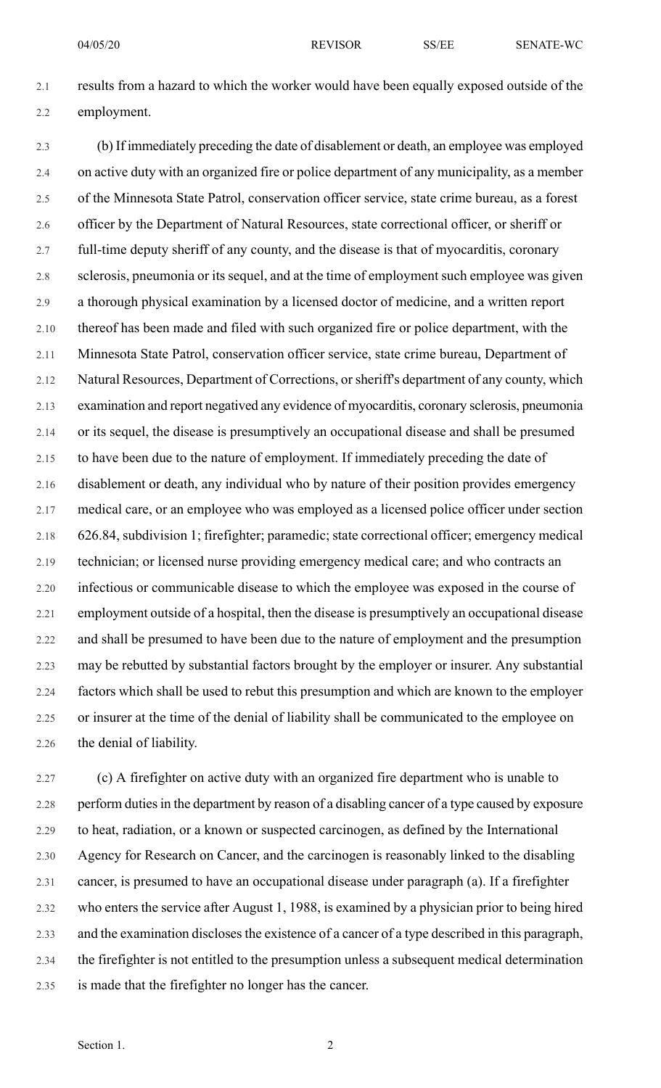2.1 results from a hazard to which the worker would have been equally exposed outside of the 2.2 employment.

2.3 (b) If immediately preceding the date of disablement or death, an employee was employed 2.4 on active duty with an organized fire or police department of any municipality, as a member 2.5 of the Minnesota State Patrol, conservation officer service, state crime bureau, as a forest 2.6 officer by the Department of Natural Resources, state correctional officer, or sheriff or 2.7 full-time deputy sheriff of any county, and the disease is that of myocarditis, coronary 2.8 sclerosis, pneumonia or its sequel, and at the time of employment such employee was given 2.9 a thorough physical examination by a licensed doctor of medicine, and a written report 2.10 thereof has been made and filed with such organized fire or police department, with the 2.11 Minnesota State Patrol, conservation officer service, state crime bureau, Department of 2.12 Natural Resources, Department of Corrections, orsheriff's department of any county, which 2.13 examination and report negatived any evidence of myocarditis, coronary sclerosis, pneumonia 2.14 or its sequel, the disease is presumptively an occupational disease and shall be presumed 2.15 to have been due to the nature of employment. If immediately preceding the date of 2.16 disablement or death, any individual who by nature of their position provides emergency 2.17 medical care, or an employee who was employed as a licensed police officer under section 2.18 626.84, subdivision 1; firefighter; paramedic; state correctional officer; emergency medical 2.19 technician; or licensed nurse providing emergency medical care; and who contracts an 2.20 infectious or communicable disease to which the employee was exposed in the course of 2.21 employment outside of a hospital, then the disease is presumptively an occupational disease 2.22 and shall be presumed to have been due to the nature of employment and the presumption 2.23 may be rebutted by substantial factors brought by the employer or insurer. Any substantial 2.24 factors which shall be used to rebut this presumption and which are known to the employer 2.25 or insurer at the time of the denial of liability shall be communicated to the employee on 2.26 the denial of liability.

2.27 (c) A firefighter on active duty with an organized fire department who is unable to 2.28 perform duties in the department by reason of a disabling cancer of a type caused by exposure 2.29 to heat, radiation, or a known or suspected carcinogen, as defined by the International 2.30 Agency for Research on Cancer, and the carcinogen is reasonably linked to the disabling 2.31 cancer, is presumed to have an occupational disease under paragraph (a). If a firefighter 2.32 who enters the service after August 1, 1988, is examined by a physician prior to being hired 2.33 and the examination discloses the existence of a cancer of a type described in this paragraph, 2.34 the firefighter is not entitled to the presumption unless a subsequent medical determination 2.35 is made that the firefighter no longer has the cancer.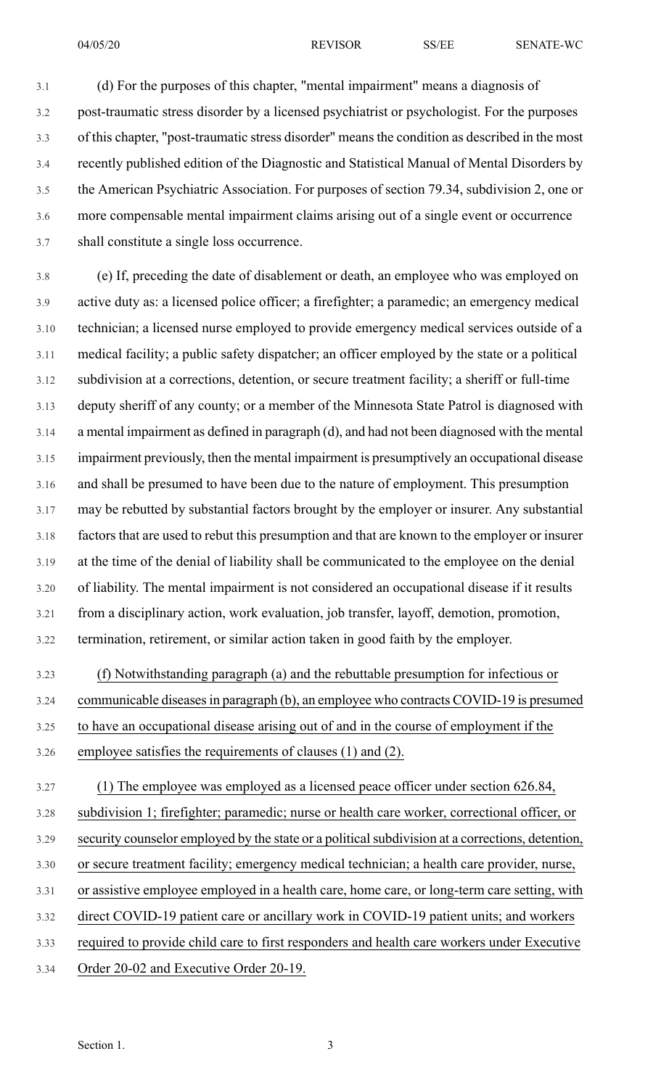3.1 (d) For the purposes of this chapter, "mental impairment" means a diagnosis of 3.2 post-traumatic stress disorder by a licensed psychiatrist or psychologist. For the purposes 3.3 of this chapter, "post-traumatic stress disorder" meansthe condition as described in the most 3.4 recently published edition of the Diagnostic and Statistical Manual of Mental Disorders by 3.5 the American Psychiatric Association. For purposes of section 79.34, subdivision 2, one or 3.6 more compensable mental impairment claims arising out of a single event or occurrence 3.7 shall constitute a single loss occurrence.

3.8 (e) If, preceding the date of disablement or death, an employee who was employed on 3.9 active duty as: a licensed police officer; a firefighter; a paramedic; an emergency medical 3.10 technician; a licensed nurse employed to provide emergency medical services outside of a 3.11 medical facility; a public safety dispatcher; an officer employed by the state or a political 3.12 subdivision at a corrections, detention, or secure treatment facility; a sheriff or full-time 3.13 deputy sheriff of any county; or a member of the Minnesota State Patrol is diagnosed with 3.14 a mental impairment as defined in paragraph (d), and had not been diagnosed with the mental 3.15 impairment previously, then the mental impairment is presumptively an occupational disease 3.16 and shall be presumed to have been due to the nature of employment. This presumption 3.17 may be rebutted by substantial factors brought by the employer or insurer. Any substantial 3.18 factors that are used to rebut this presumption and that are known to the employer or insurer 3.19 at the time of the denial of liability shall be communicated to the employee on the denial 3.20 of liability. The mental impairment is not considered an occupational disease if it results 3.21 from a disciplinary action, work evaluation, job transfer, layoff, demotion, promotion, 3.22 termination, retirement, or similar action taken in good faith by the employer.

3.23 (f) Notwithstanding paragraph (a) and the rebuttable presumption for infectious or 3.24 communicable diseasesin paragraph (b), an employee who contracts COVID-19 is presumed 3.25 to have an occupational disease arising out of and in the course of employment if the 3.26 employee satisfies the requirements of clauses (1) and (2).

3.27 (1) The employee was employed as a licensed peace officer under section 626.84, 3.28 subdivision 1; firefighter; paramedic; nurse or health care worker, correctional officer, or 3.29 security counselor employed by the state or a political subdivision at a corrections, detention, 3.30 or secure treatment facility; emergency medical technician; a health care provider, nurse, 3.31 or assistive employee employed in a health care, home care, or long-term care setting, with 3.32 direct COVID-19 patient care or ancillary work in COVID-19 patient units; and workers 3.33 required to provide child care to first responders and health care workers under Executive 3.34 Order 20-02 and Executive Order 20-19.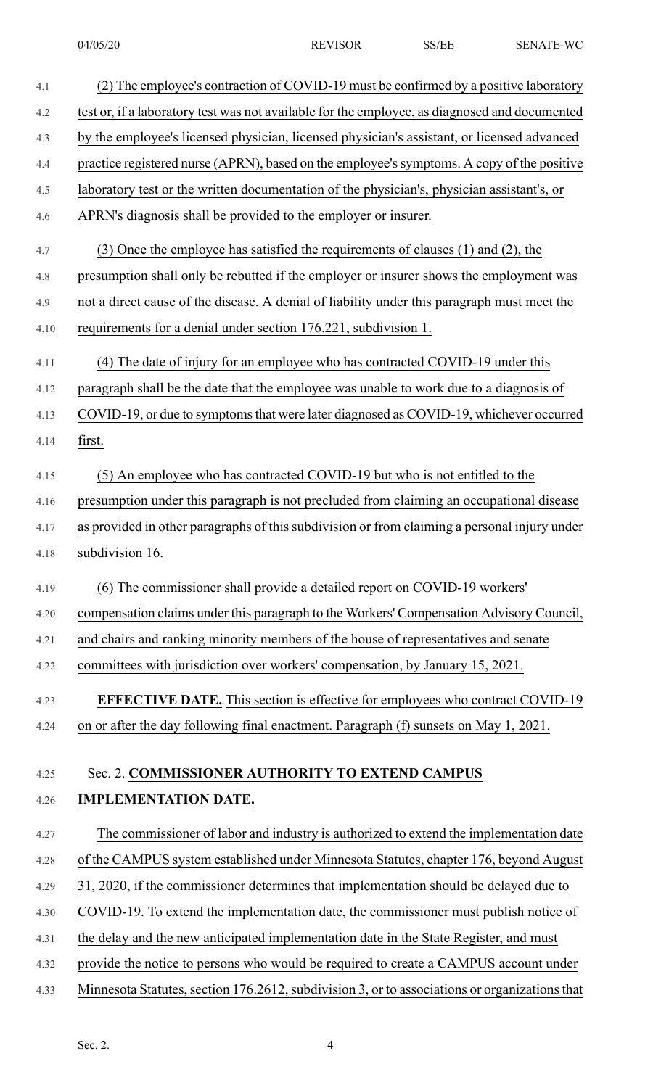| 4.1  | (2) The employee's contraction of COVID-19 must be confirmed by a positive laboratory         |
|------|-----------------------------------------------------------------------------------------------|
| 4.2  | test or, if a laboratory test was not available for the employee, as diagnosed and documented |
| 4.3  | by the employee's licensed physician, licensed physician's assistant, or licensed advanced    |
| 4.4  | practice registered nurse (APRN), based on the employee's symptoms. A copy of the positive    |
| 4.5  | laboratory test or the written documentation of the physician's, physician assistant's, or    |
| 4.6  | APRN's diagnosis shall be provided to the employer or insurer.                                |
| 4.7  | $(3)$ Once the employee has satisfied the requirements of clauses $(1)$ and $(2)$ , the       |
| 4.8  | presumption shall only be rebutted if the employer or insurer shows the employment was        |
| 4.9  | not a direct cause of the disease. A denial of liability under this paragraph must meet the   |
| 4.10 | requirements for a denial under section 176.221, subdivision 1.                               |
| 4.11 | (4) The date of injury for an employee who has contracted COVID-19 under this                 |
| 4.12 | paragraph shall be the date that the employee was unable to work due to a diagnosis of        |
| 4.13 | COVID-19, or due to symptoms that were later diagnosed as COVID-19, whichever occurred        |
| 4.14 | first.                                                                                        |
| 4.15 | (5) An employee who has contracted COVID-19 but who is not entitled to the                    |
| 4.16 | presumption under this paragraph is not precluded from claiming an occupational disease       |
| 4.17 | as provided in other paragraphs of this subdivision or from claiming a personal injury under  |
| 4.18 | subdivision 16.                                                                               |
| 4.19 | (6) The commissioner shall provide a detailed report on COVID-19 workers'                     |
| 4.20 | compensation claims under this paragraph to the Workers' Compensation Advisory Council,       |
| 4.21 | and chairs and ranking minority members of the house of representatives and senate            |
| 4.22 | committees with jurisdiction over workers' compensation, by January 15, 2021.                 |
| 4.23 | <b>EFFECTIVE DATE.</b> This section is effective for employees who contract COVID-19          |
| 4.24 | on or after the day following final enactment. Paragraph (f) sunsets on May 1, 2021.          |
| 4.25 | Sec. 2. COMMISSIONER AUTHORITY TO EXTEND CAMPUS                                               |
|      | <b>IMPLEMENTATION DATE.</b>                                                                   |
| 4.26 |                                                                                               |
| 4.27 | The commissioner of labor and industry is authorized to extend the implementation date        |
| 4.28 | of the CAMPUS system established under Minnesota Statutes, chapter 176, beyond August         |
| 4.29 | 31, 2020, if the commissioner determines that implementation should be delayed due to         |
| 4.30 | COVID-19. To extend the implementation date, the commissioner must publish notice of          |
| 4.31 | the delay and the new anticipated implementation date in the State Register, and must         |
| 4.32 | provide the notice to persons who would be required to create a CAMPUS account under          |
| 4.33 | Minnesota Statutes, section 176.2612, subdivision 3, or to associations or organizations that |